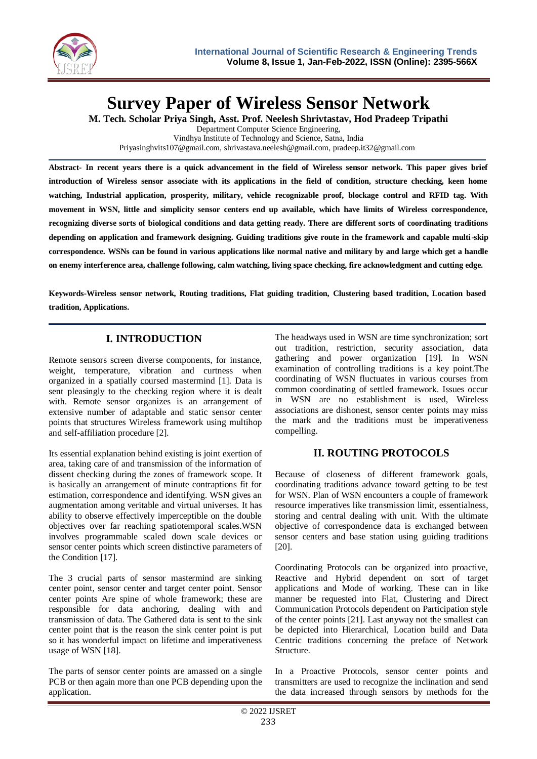

**Survey Paper of Wireless Sensor Network**

**M. Tech. Scholar Priya Singh, Asst. Prof. Neelesh Shrivtastav, Hod Pradeep Tripathi**

Department Computer Science Engineering, Vindhya Institute of Technology and Science, Satna, India [Priyasinghvits107@gmail.com,](mailto:Priyasinghvits107@gmail.com) [shrivastava.neelesh@gmail.com,](mailto:shrivastava.neelesh@gmail.com) pradeep.it32@gmail.com

**Abstract- In recent years there is a quick advancement in the field of Wireless sensor network. This paper gives brief introduction of Wireless sensor associate with its applications in the field of condition, structure checking, keen home**  watching, Industrial application, prosperity, military, vehicle recognizable proof, blockage control and RFID tag. With **movement in WSN, little and simplicity sensor centers end up available, which have limits of Wireless correspondence, recognizing diverse sorts of biological conditions and data getting ready. There are different sorts of coordinating traditions depending on application and framework designing. Guiding traditions give route in the framework and capable multi-skip correspondence. WSNs can be found in various applications like normal native and military by and large which get a handle on enemy interference area, challenge following, calm watching, living space checking, fire acknowledgment and cutting edge.** 

**Keywords-Wireless sensor network, Routing traditions, Flat guiding tradition, Clustering based tradition, Location based tradition, Applications.**

# **I. INTRODUCTION**

Remote sensors screen diverse components, for instance, weight, temperature, vibration and curtness when organized in a spatially coursed mastermind [1]. Data is sent pleasingly to the checking region where it is dealt with. Remote sensor organizes is an arrangement of extensive number of adaptable and static sensor center points that structures Wireless framework using multihop and self-affiliation procedure [2].

Its essential explanation behind existing is joint exertion of area, taking care of and transmission of the information of dissent checking during the zones of framework scope. It is basically an arrangement of minute contraptions fit for estimation, correspondence and identifying. WSN gives an augmentation among veritable and virtual universes. It has ability to observe effectively imperceptible on the double objectives over far reaching spatiotemporal scales.WSN involves programmable scaled down scale devices or sensor center points which screen distinctive parameters of the Condition [17].

The 3 crucial parts of sensor mastermind are sinking center point, sensor center and target center point. Sensor center points Are spine of whole framework; these are responsible for data anchoring, dealing with and transmission of data. The Gathered data is sent to the sink center point that is the reason the sink center point is put so it has wonderful impact on lifetime and imperativeness usage of WSN [18].

The parts of sensor center points are amassed on a single PCB or then again more than one PCB depending upon the application.

The headways used in WSN are time synchronization; sort out tradition, restriction, security association, data gathering and power organization [19]. In WSN examination of controlling traditions is a key point.The coordinating of WSN fluctuates in various courses from common coordinating of settled framework. Issues occur in WSN are no establishment is used, Wireless associations are dishonest, sensor center points may miss the mark and the traditions must be imperativeness compelling.

## **II. ROUTING PROTOCOLS**

Because of closeness of different framework goals, coordinating traditions advance toward getting to be test for WSN. Plan of WSN encounters a couple of framework resource imperatives like transmission limit, essentialness, storing and central dealing with unit. With the ultimate objective of correspondence data is exchanged between sensor centers and base station using guiding traditions [20].

Coordinating Protocols can be organized into proactive, Reactive and Hybrid dependent on sort of target applications and Mode of working. These can in like manner be requested into Flat, Clustering and Direct Communication Protocols dependent on Participation style of the center points [21]. Last anyway not the smallest can be depicted into Hierarchical, Location build and Data Centric traditions concerning the preface of Network Structure.

In a Proactive Protocols, sensor center points and transmitters are used to recognize the inclination and send the data increased through sensors by methods for the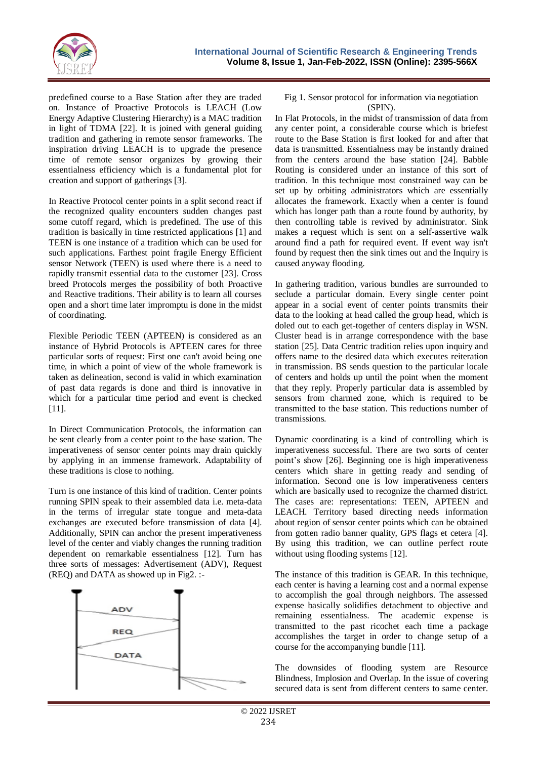

predefined course to a Base Station after they are traded on. Instance of Proactive Protocols is LEACH (Low Energy Adaptive Clustering Hierarchy) is a MAC tradition in light of TDMA [22]. It is joined with general guiding tradition and gathering in remote sensor frameworks. The inspiration driving LEACH is to upgrade the presence time of remote sensor organizes by growing their essentialness efficiency which is a fundamental plot for creation and support of gatherings [3].

In Reactive Protocol center points in a split second react if the recognized quality encounters sudden changes past some cutoff regard, which is predefined. The use of this tradition is basically in time restricted applications [1] and TEEN is one instance of a tradition which can be used for such applications. Farthest point fragile Energy Efficient sensor Network (TEEN) is used where there is a need to rapidly transmit essential data to the customer [23]. Cross breed Protocols merges the possibility of both Proactive and Reactive traditions. Their ability is to learn all courses open and a short time later impromptu is done in the midst of coordinating.

Flexible Periodic TEEN (APTEEN) is considered as an instance of Hybrid Protocols is APTEEN cares for three particular sorts of request: First one can't avoid being one time, in which a point of view of the whole framework is taken as delineation, second is valid in which examination of past data regards is done and third is innovative in which for a particular time period and event is checked [11].

In Direct Communication Protocols, the information can be sent clearly from a center point to the base station. The imperativeness of sensor center points may drain quickly by applying in an immense framework. Adaptability of these traditions is close to nothing.

Turn is one instance of this kind of tradition. Center points running SPIN speak to their assembled data i.e. meta-data in the terms of irregular state tongue and meta-data exchanges are executed before transmission of data [4]. Additionally, SPIN can anchor the present imperativeness level of the center and viably changes the running tradition dependent on remarkable essentialness [12]. Turn has three sorts of messages: Advertisement (ADV), Request (REQ) and DATA as showed up in Fig2. :-



#### Fig 1. Sensor protocol for information via negotiation (SPIN).

In Flat Protocols, in the midst of transmission of data from any center point, a considerable course which is briefest route to the Base Station is first looked for and after that data is transmitted. Essentialness may be instantly drained from the centers around the base station [24]. Babble Routing is considered under an instance of this sort of tradition. In this technique most constrained way can be set up by orbiting administrators which are essentially allocates the framework. Exactly when a center is found which has longer path than a route found by authority, by then controlling table is revived by administrator. Sink makes a request which is sent on a self-assertive walk around find a path for required event. If event way isn't found by request then the sink times out and the Inquiry is caused anyway flooding.

In gathering tradition, various bundles are surrounded to seclude a particular domain. Every single center point appear in a social event of center points transmits their data to the looking at head called the group head, which is doled out to each get-together of centers display in WSN. Cluster head is in arrange correspondence with the base station [25]. Data Centric tradition relies upon inquiry and offers name to the desired data which executes reiteration in transmission. BS sends question to the particular locale of centers and holds up until the point when the moment that they reply. Properly particular data is assembled by sensors from charmed zone, which is required to be transmitted to the base station. This reductions number of transmissions.

Dynamic coordinating is a kind of controlling which is imperativeness successful. There are two sorts of center point's show [26]. Beginning one is high imperativeness centers which share in getting ready and sending of information. Second one is low imperativeness centers which are basically used to recognize the charmed district. The cases are: representations: TEEN, APTEEN and LEACH. Territory based directing needs information about region of sensor center points which can be obtained from gotten radio banner quality, GPS flags et cetera [4]. By using this tradition, we can outline perfect route without using flooding systems [12].

The instance of this tradition is GEAR. In this technique, each center is having a learning cost and a normal expense to accomplish the goal through neighbors. The assessed expense basically solidifies detachment to objective and remaining essentialness. The academic expense is transmitted to the past ricochet each time a package accomplishes the target in order to change setup of a course for the accompanying bundle [11].

The downsides of flooding system are Resource Blindness, Implosion and Overlap. In the issue of covering secured data is sent from different centers to same center.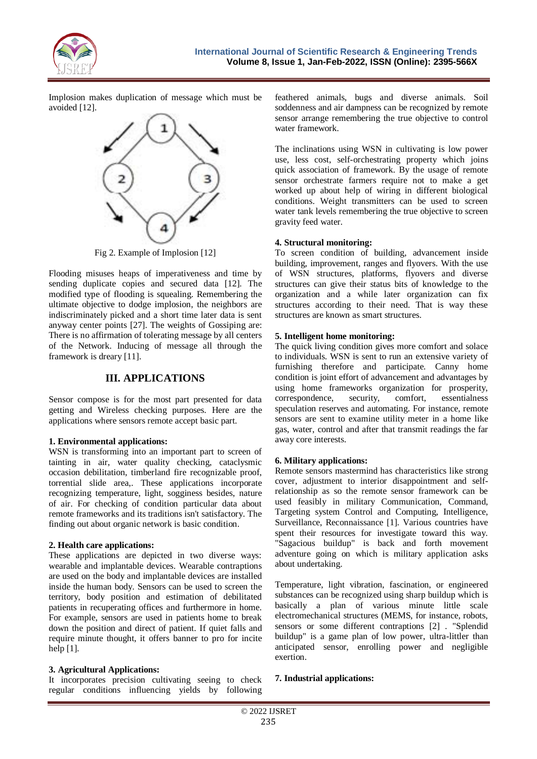

Implosion makes duplication of message which must be avoided [12].



Fig 2. Example of Implosion [12]

Flooding misuses heaps of imperativeness and time by sending duplicate copies and secured data [12]. The modified type of flooding is squealing. Remembering the ultimate objective to dodge implosion, the neighbors are indiscriminately picked and a short time later data is sent anyway center points [27]. The weights of Gossiping are: There is no affirmation of tolerating message by all centers of the Network. Inducing of message all through the framework is dreary [11].

## **III. APPLICATIONS**

Sensor compose is for the most part presented for data getting and Wireless checking purposes. Here are the applications where sensors remote accept basic part.

#### **1. Environmental applications:**

WSN is transforming into an important part to screen of tainting in air, water quality checking, cataclysmic occasion debilitation, timberland fire recognizable proof, torrential slide area,. These applications incorporate recognizing temperature, light, sogginess besides, nature of air. For checking of condition particular data about remote frameworks and its traditions isn't satisfactory. The finding out about organic network is basic condition.

#### **2. Health care applications:**

These applications are depicted in two diverse ways: wearable and implantable devices. Wearable contraptions are used on the body and implantable devices are installed inside the human body. Sensors can be used to screen the territory, body position and estimation of debilitated patients in recuperating offices and furthermore in home. For example, sensors are used in patients home to break down the position and direct of patient. If quiet falls and require minute thought, it offers banner to pro for incite help  $[1]$ .

## **3. Agricultural Applications:**

It incorporates precision cultivating seeing to check regular conditions influencing yields by following feathered animals, bugs and diverse animals. Soil soddenness and air dampness can be recognized by remote sensor arrange remembering the true objective to control water framework.

The inclinations using WSN in cultivating is low power use, less cost, self-orchestrating property which joins quick association of framework. By the usage of remote sensor orchestrate farmers require not to make a get worked up about help of wiring in different biological conditions. Weight transmitters can be used to screen water tank levels remembering the true objective to screen gravity feed water.

#### **4. Structural monitoring:**

To screen condition of building, advancement inside building, improvement, ranges and flyovers. With the use of WSN structures, platforms, flyovers and diverse structures can give their status bits of knowledge to the organization and a while later organization can fix structures according to their need. That is way these structures are known as smart structures.

#### **5. Intelligent home monitoring:**

The quick living condition gives more comfort and solace to individuals. WSN is sent to run an extensive variety of furnishing therefore and participate. Canny home condition is joint effort of advancement and advantages by using home frameworks organization for prosperity, correspondence, security, comfort, essentialness speculation reserves and automating. For instance, remote sensors are sent to examine utility meter in a home like gas, water, control and after that transmit readings the far away core interests.

## **6. Military applications:**

Remote sensors mastermind has characteristics like strong cover, adjustment to interior disappointment and selfrelationship as so the remote sensor framework can be used feasibly in military Communication, Command, Targeting system Control and Computing, Intelligence, Surveillance, Reconnaissance [1]. Various countries have spent their resources for investigate toward this way. "Sagacious buildup" is back and forth movement adventure going on which is military application asks about undertaking.

Temperature, light vibration, fascination, or engineered substances can be recognized using sharp buildup which is basically a plan of various minute little scale electromechanical structures (MEMS, for instance, robots, sensors or some different contraptions [2] . "Splendid buildup" is a game plan of low power, ultra-littler than anticipated sensor, enrolling power and negligible exertion.

## **7. Industrial applications:**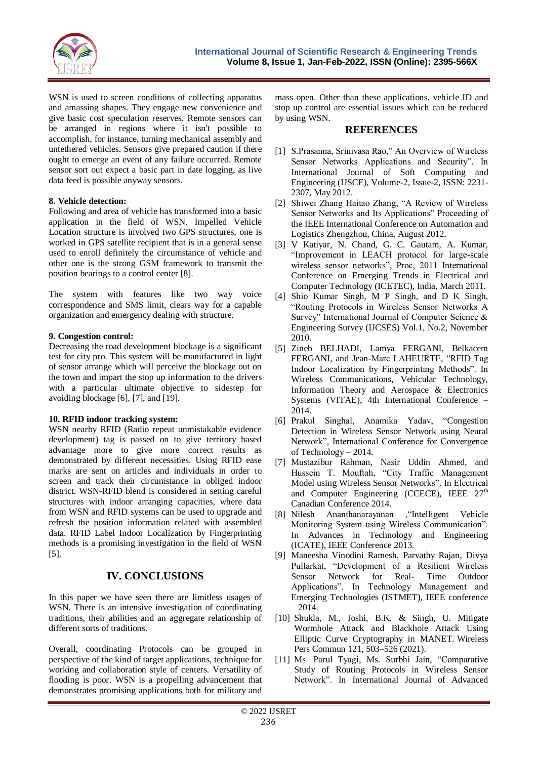

WSN is used to screen conditions of collecting apparatus and amassing shapes. They engage new convenience and give basic cost speculation reserves. Remote sensors can be arranged in regions where it isn't possible to accomplish, for instance, turning mechanical assembly and untethered vehicles. Sensors give prepared caution if there ought to emerge an event of any failure occurred. Remote sensor sort out expect a basic part in date logging, as live data feed is possible anyway sensors.

## **8. Vehicle detection:**

Following and area of vehicle has transformed into a basic application in the field of WSN. Impelled Vehicle Location structure is involved two GPS structures, one is worked in GPS satellite recipient that is in a general sense used to enroll definitely the circumstance of vehicle and other one is the strong GSM framework to transmit the position bearings to a control center [8].

The system with features like two way voice correspondence and SMS limit, clears way for a capable organization and emergency dealing with structure.

#### **9. Congestion control:**

Decreasing the road development blockage is a significant test for city pro. This system will be manufactured in light of sensor arrange which will perceive the blockage out on the town and impart the stop up information to the drivers with a particular ultimate objective to sidestep for avoiding blockage [6], [7], and [19].

## **10. RFID indoor tracking system:**

WSN nearby RFID (Radio repeat unmistakable evidence development) tag is passed on to give territory based advantage more to give more correct results as demonstrated by different necessities. Using RFID ease marks are sent on articles and individuals in order to screen and track their circumstance in obliged indoor district. WSN-RFID blend is considered in setting careful structures with indoor arranging capacities, where data from WSN and RFID systems can be used to upgrade and refresh the position information related with assembled data. RFID Label Indoor Localization by Fingerprinting methods is a promising investigation in the field of WSN [5].

## **IV. CONCLUSIONS**

In this paper we have seen there are limitless usages of WSN. There is an intensive investigation of coordinating traditions, their abilities and an aggregate relationship of different sorts of traditions.

Overall, coordinating Protocols can be grouped in perspective of the kind of target applications, technique for working and collaboration style of centers. Versatility of flooding is poor. WSN is a propelling advancement that demonstrates promising applications both for military and

mass open. Other than these applications, vehicle ID and stop up control are essential issues which can be reduced by using WSN.

## **REFERENCES**

- [1] S.Prasanna, Srinivasa Rao," An Overview of Wireless Sensor Networks Applications and Security". In International Journal of Soft Computing and Engineering (IJSCE), Volume-2, Issue-2, ISSN: 2231- 2307, May 2012.
- [2] Shiwei Zhang Haitao Zhang, "A Review of Wireless Sensor Networks and Its Applications" Proceeding of the IEEE International Conference on Automation and Logistics Zhengzhou, China, August 2012.
- [3] V Katiyar, N. Chand, G. C. Gautam, A. Kumar, "Improvement in LEACH protocol for large-scale wireless sensor networks", Proc, 2011 International Conference on Emerging Trends in Electrical and Computer Technology (ICETEC), India, March 2011.
- [4] Shio Kumar Singh, M P Singh, and D K Singh, "Routing Protocols in Wireless Sensor Networks A Survey" International Journal of Computer Science & Engineering Survey (IJCSES) Vol.1, No.2, November 2010.
- [5] Zineb BELHADI, Lamya FERGANI, Belkacem FERGANI, and Jean-Marc LAHEURTE, "RFID Tag Indoor Localization by Fingerprinting Methods". In Wireless Communications, Vehicular Technology, Information Theory and Aerospace & Electronics Systems (VITAE), 4th International Conference – 2014.
- [6] Prakul Singhal, Anamika Yadav, "Congestion Detection in Wireless Sensor Network using Neural Network", International Conference for Convergence of Technology – 2014.
- [7] Mustazibur Rahman, Nasir Uddin Ahmed, and Hussein T. Mouftah, "City Traffic Management Model using Wireless Sensor Networks". In Electrical and Computer Engineering (CCECE), IEEE  $27<sup>th</sup>$ Canadian Conference 2014.
- [8] Nilesh Ananthanarayanan ,"Intelligent Vehicle Monitoring System using Wireless Communication". In Advances in Technology and Engineering (ICATE), IEEE Conference 2013.
- [9] Maneesha Vinodini Ramesh, Parvathy Rajan, Divya Pullarkat, "Development of a Resilient Wireless Sensor Network for Real- Time Outdoor Applications". In Technology Management and Emerging Technologies (ISTMET), IEEE conference  $-2014.$
- [10] Shukla, M., Joshi, B.K. & Singh, U. Mitigate Wormhole Attack and Blackhole Attack Using Elliptic Curve Cryptography in MANET. Wireless Pers Commun 121, 503–526 (2021).
- [11] Ms. Parul Tyagi, Ms. Surbhi Jain, "Comparative Study of Routing Protocols in Wireless Sensor Network". In International Journal of Advanced